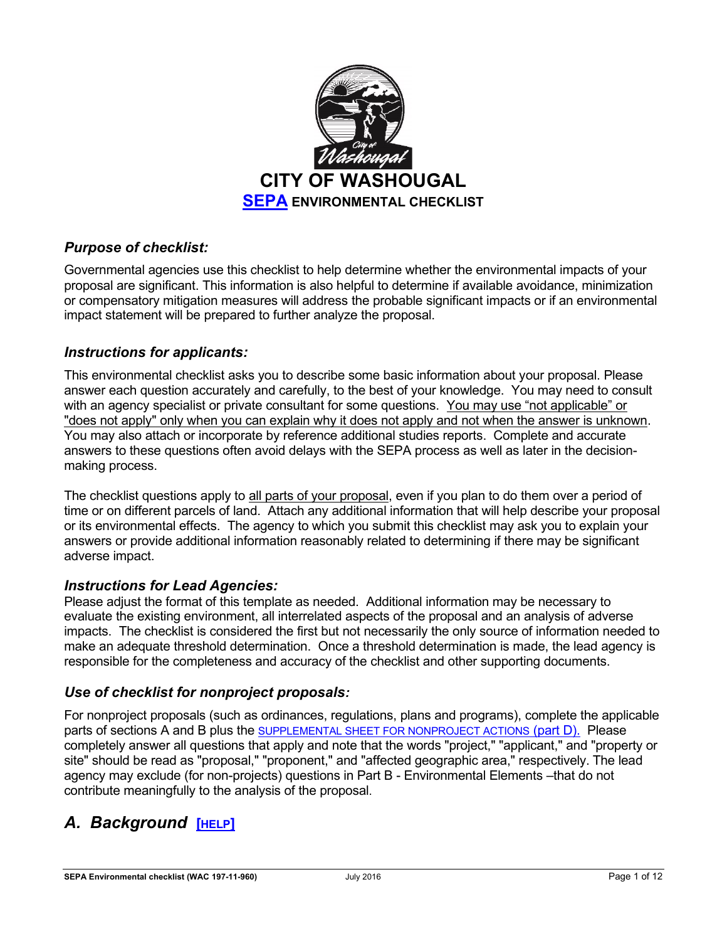

## *Purpose of checklist:*

Governmental agencies use this checklist to help determine whether the environmental impacts of your proposal are significant. This information is also helpful to determine if available avoidance, minimization or compensatory mitigation measures will address the probable significant impacts or if an environmental impact statement will be prepared to further analyze the proposal.

## *Instructions for applicants:*

This environmental checklist asks you to describe some basic information about your proposal. Please answer each question accurately and carefully, to the best of your knowledge. You may need to consult with an agency specialist or private consultant for some questions. You may use "not applicable" or "does not apply" only when you can explain why it does not apply and not when the answer is unknown. You may also attach or incorporate by reference additional studies reports. Complete and accurate answers to these questions often avoid delays with the SEPA process as well as later in the decisionmaking process.

The checklist questions apply to all parts of your proposal, even if you plan to do them over a period of time or on different parcels of land. Attach any additional information that will help describe your proposal or its environmental effects. The agency to which you submit this checklist may ask you to explain your answers or provide additional information reasonably related to determining if there may be significant adverse impact.

### *Instructions for Lead Agencies:*

Please adjust the format of this template as needed. Additional information may be necessary to evaluate the existing environment, all interrelated aspects of the proposal and an analysis of adverse impacts. The checklist is considered the first but not necessarily the only source of information needed to make an adequate threshold determination. Once a threshold determination is made, the lead agency is responsible for the completeness and accuracy of the checklist and other supporting documents.

### *Use of checklist for nonproject proposals:*

For nonproject proposals (such as ordinances, regulations, plans and programs), complete the applicable parts of sections A and B plus the [SUPPLEMENTAL SHEET FOR NONPROJECT ACTIONS](#page-10-0) (part D). Please completely answer all questions that apply and note that the words "project," "applicant," and "property or site" should be read as "proposal," "proponent," and "affected geographic area," respectively. The lead agency may exclude (for non-projects) questions in Part B - Environmental Elements –that do not contribute meaningfully to the analysis of the proposal.

# *A. Background* **[[HELP](https://ecology.wa.gov/Regulations-Permits/SEPA/Environmental-review/SEPA-guidance/SEPA-checklist-guidance/SEPA-Checklist-Section-A-Background)]**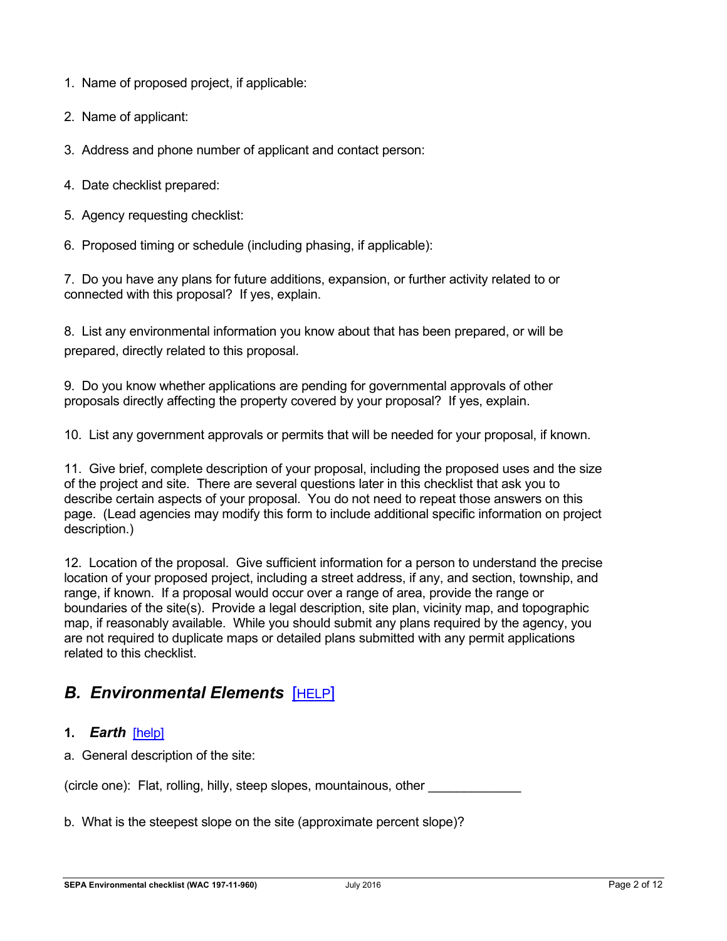- 1. Name of proposed project, if applicable:
- 2. Name of applicant:
- 3. Address and phone number of applicant and contact person:
- 4. Date checklist prepared:
- 5. Agency requesting checklist:
- 6. Proposed timing or schedule (including phasing, if applicable):

7. Do you have any plans for future additions, expansion, or further activity related to or connected with this proposal? If yes, explain.

8. List any environmental information you know about that has been prepared, or will be prepared, directly related to this proposal.

9. Do you know whether applications are pending for governmental approvals of other proposals directly affecting the property covered by your proposal? If yes, explain.

10. List any government approvals or permits that will be needed for your proposal, if known.

11. Give brief, complete description of your proposal, including the proposed uses and the size of the project and site. There are several questions later in this checklist that ask you to describe certain aspects of your proposal. You do not need to repeat those answers on this page. (Lead agencies may modify this form to include additional specific information on project description.)

12. Location of the proposal. Give sufficient information for a person to understand the precise location of your proposed project, including a street address, if any, and section, township, and range, if known. If a proposal would occur over a range of area, provide the range or boundaries of the site(s). Provide a legal description, site plan, vicinity map, and topographic map, if reasonably available. While you should submit any plans required by the agency, you are not required to duplicate maps or detailed plans submitted with any permit applications related to this checklist.

# *B. Environmental Elements* [[HELP](https://ecology.wa.gov/Regulations-Permits/SEPA/Environmental-review/SEPA-guidance/SEPA-checklist-guidance/SEPA-Checklist-Section-B-Environmental-elements)]

- **1.** *Earth*[\[help\]](https://ecology.wa.gov/Regulations-Permits/SEPA/Environmental-review/SEPA-guidance/SEPA-checklist-guidance/SEPA-Checklist-Section-B-Environmental-elements/Environmental-elements-Earth)
- a. General description of the site:

(circle one): Flat, rolling, hilly, steep slopes, mountainous, other \_\_\_\_\_\_\_\_\_\_\_\_\_

b. What is the steepest slope on the site (approximate percent slope)?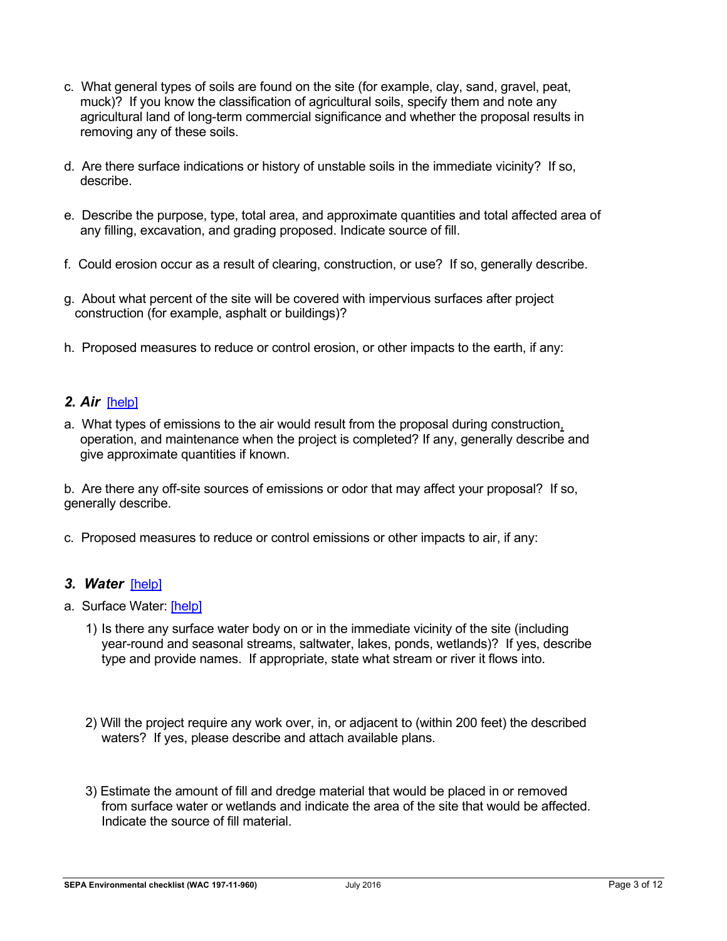- c. What general types of soils are found on the site (for example, clay, sand, gravel, peat, muck)? If you know the classification of agricultural soils, specify them and note any agricultural land of long-term commercial significance and whether the proposal results in removing any of these soils.
- d. Are there surface indications or history of unstable soils in the immediate vicinity? If so, describe.
- e. Describe the purpose, type, total area, and approximate quantities and total affected area of any filling, excavation, and grading proposed. Indicate source of fill.
- f. Could erosion occur as a result of clearing, construction, or use? If so, generally describe.
- g. About what percent of the site will be covered with impervious surfaces after project construction (for example, asphalt or buildings)?
- h. Proposed measures to reduce or control erosion, or other impacts to the earth, if any:

## *2. Air*[\[help\]](https://ecology.wa.gov/Regulations-Permits/SEPA/Environmental-review/SEPA-guidance/SEPA-checklist-guidance/SEPA-Checklist-Section-B-Environmental-elements/Environmental-elements-Air)

a. What types of emissions to the air would result from the proposal during construction, operation, and maintenance when the project is completed? If any, generally describe and give approximate quantities if known.

b. Are there any off-site sources of emissions or odor that may affect your proposal? If so, generally describe.

c. Proposed measures to reduce or control emissions or other impacts to air, if any:

### *3. Water*[\[help\]](https://ecology.wa.gov/Regulations-Permits/SEPA/Environmental-review/SEPA-guidance/SEPA-checklist-guidance/SEPA-Checklist-Section-B-Environmental-elements/Environmental-elements-3-Water)

- a. Surface Water: [\[help\]](https://ecology.wa.gov/Regulations-Permits/SEPA/Environmental-review/SEPA-guidance/SEPA-checklist-guidance/SEPA-Checklist-Section-B-Environmental-elements/Environmental-elements-3-Water/Environmental-elements-Surface-water)
	- 1) Is there any surface water body on or in the immediate vicinity of the site (including year-round and seasonal streams, saltwater, lakes, ponds, wetlands)? If yes, describe type and provide names. If appropriate, state what stream or river it flows into.
	- 2) Will the project require any work over, in, or adjacent to (within 200 feet) the described waters? If yes, please describe and attach available plans.
	- 3) Estimate the amount of fill and dredge material that would be placed in or removed from surface water or wetlands and indicate the area of the site that would be affected. Indicate the source of fill material.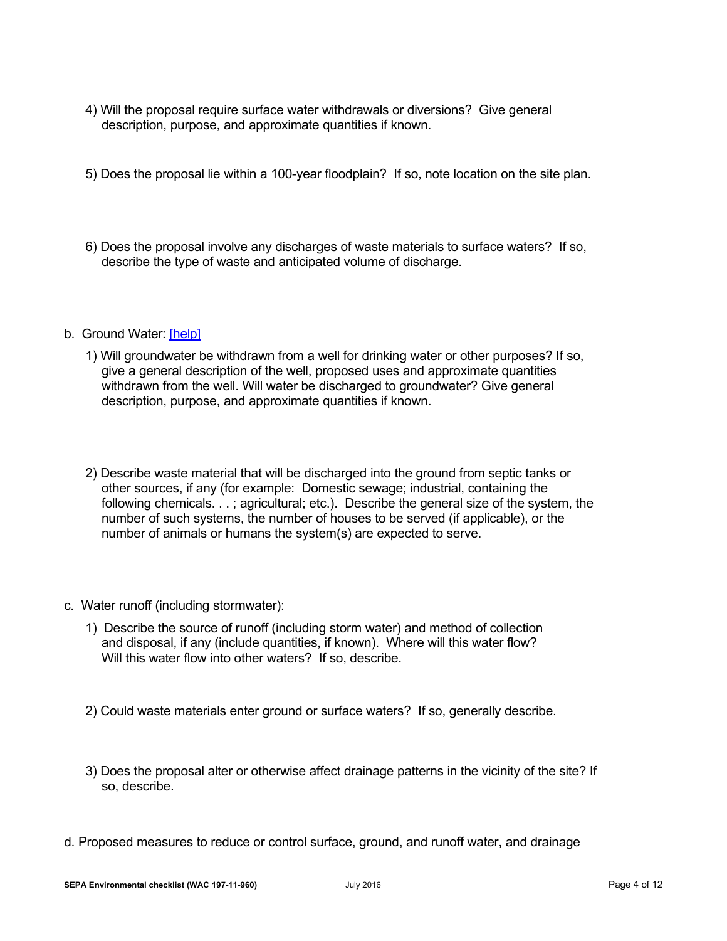- 4) Will the proposal require surface water withdrawals or diversions? Give general description, purpose, and approximate quantities if known.
- 5) Does the proposal lie within a 100-year floodplain? If so, note location on the site plan.
- 6) Does the proposal involve any discharges of waste materials to surface waters? If so, describe the type of waste and anticipated volume of discharge.
- b. Ground Water: [\[help\]](https://ecology.wa.gov/Regulations-Permits/SEPA/Environmental-review/SEPA-guidance/SEPA-checklist-guidance/SEPA-Checklist-Section-B-Environmental-elements/Environmental-elements-3-Water/Environmental-elements-Groundwater)
	- 1) Will groundwater be withdrawn from a well for drinking water or other purposes? If so, give a general description of the well, proposed uses and approximate quantities withdrawn from the well. Will water be discharged to groundwater? Give general description, purpose, and approximate quantities if known.
	- 2) Describe waste material that will be discharged into the ground from septic tanks or other sources, if any (for example: Domestic sewage; industrial, containing the following chemicals. . .; agricultural; etc.). Describe the general size of the system, the number of such systems, the number of houses to be served (if applicable), or the number of animals or humans the system(s) are expected to serve.
- c. Water runoff (including stormwater):
	- 1) Describe the source of runoff (including storm water) and method of collection and disposal, if any (include quantities, if known). Where will this water flow? Will this water flow into other waters? If so, describe.
	- 2) Could waste materials enter ground or surface waters? If so, generally describe.
	- 3) Does the proposal alter or otherwise affect drainage patterns in the vicinity of the site? If so, describe.
- d. Proposed measures to reduce or control surface, ground, and runoff water, and drainage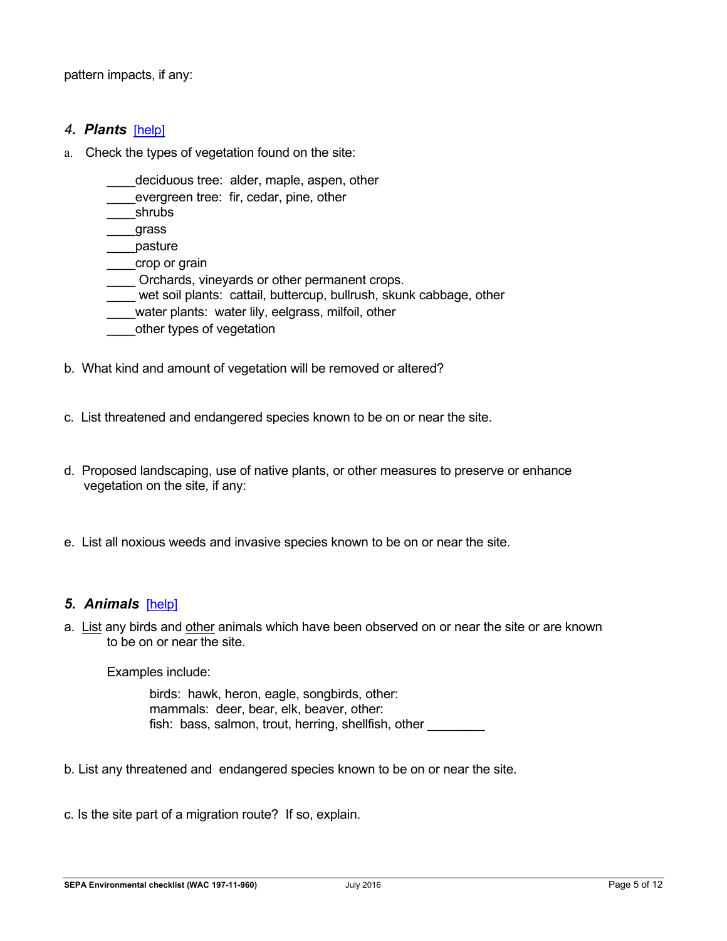pattern impacts, if any:

#### *4. Plants* [\[help\]](https://ecology.wa.gov/Regulations-Permits/SEPA/Environmental-review/SEPA-guidance/SEPA-checklist-guidance/SEPA-Checklist-Section-B-Environmental-elements/Environmental-elements-4-Plants)

- a. Check the types of vegetation found on the site:
	- deciduous tree: alder, maple, aspen, other
	- evergreen tree: fir, cedar, pine, other
	- \_\_\_\_shrubs
	- \_\_\_\_grass
	- \_\_\_\_pasture
	- \_\_\_\_crop or grain
	- Orchards, vineyards or other permanent crops.
	- wet soil plants: cattail, buttercup, bullrush, skunk cabbage, other
	- water plants: water lily, eelgrass, milfoil, other
	- other types of vegetation
- b. What kind and amount of vegetation will be removed or altered?
- c. List threatened and endangered species known to be on or near the site.
- d. Proposed landscaping, use of native plants, or other measures to preserve or enhance vegetation on the site, if any:
- e. List all noxious weeds and invasive species known to be on or near the site.

#### *5. Animals*[\[help\]](https://ecology.wa.gov/Regulations-Permits/SEPA/Environmental-review/SEPA-guidance/SEPA-checklist-guidance/SEPA-Checklist-Section-B-Environmental-elements/Environmental-elements-5-Animals)

a. List any birds and other animals which have been observed on or near the site or are known to be on or near the site.

Examples include:

birds: hawk, heron, eagle, songbirds, other: mammals: deer, bear, elk, beaver, other: fish: bass, salmon, trout, herring, shellfish, other

- b. List any threatened and endangered species known to be on or near the site.
- c. Is the site part of a migration route? If so, explain.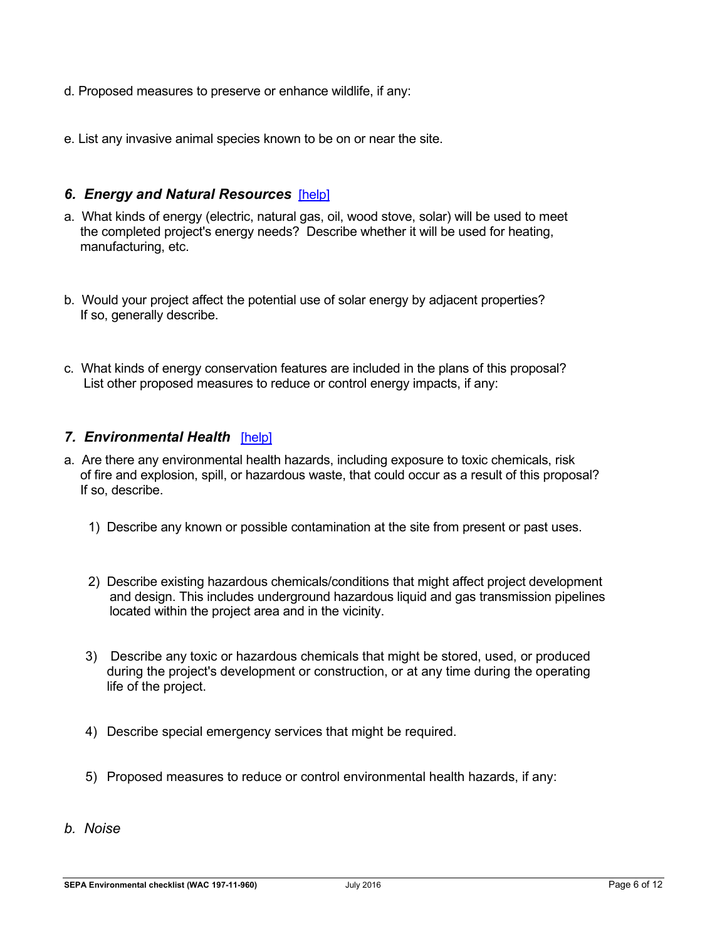- d. Proposed measures to preserve or enhance wildlife, if any:
- e. List any invasive animal species known to be on or near the site.

#### *6. Energy and Natural Resources*[\[help\]](https://ecology.wa.gov/Regulations-Permits/SEPA/Environmental-review/SEPA-guidance/SEPA-checklist-guidance/SEPA-Checklist-Section-B-Environmental-elements/Environmental-elements-6-Energy-natural-resou)

- a. What kinds of energy (electric, natural gas, oil, wood stove, solar) will be used to meet the completed project's energy needs? Describe whether it will be used for heating, manufacturing, etc.
- b. Would your project affect the potential use of solar energy by adjacent properties? If so, generally describe.
- c. What kinds of energy conservation features are included in the plans of this proposal? List other proposed measures to reduce or control energy impacts, if any:

#### *7. Environmental Health*[\[help\]](https://ecology.wa.gov/Regulations-Permits/SEPA/Environmental-review/SEPA-guidance/SEPA-checklist-guidance/SEPA-Checklist-Section-B-Environmental-elements/Environmental-elements-7-Environmental-health)

- a. Are there any environmental health hazards, including exposure to toxic chemicals, risk of fire and explosion, spill, or hazardous waste, that could occur as a result of this proposal? If so, describe.
	- 1) Describe any known or possible contamination at the site from present or past uses.
	- 2) Describe existing hazardous chemicals/conditions that might affect project development and design. This includes underground hazardous liquid and gas transmission pipelines located within the project area and in the vicinity.
	- 3) Describe any toxic or hazardous chemicals that might be stored, used, or produced during the project's development or construction, or at any time during the operating life of the project.
	- 4) Describe special emergency services that might be required.
	- 5) Proposed measures to reduce or control environmental health hazards, if any:
- *b. Noise*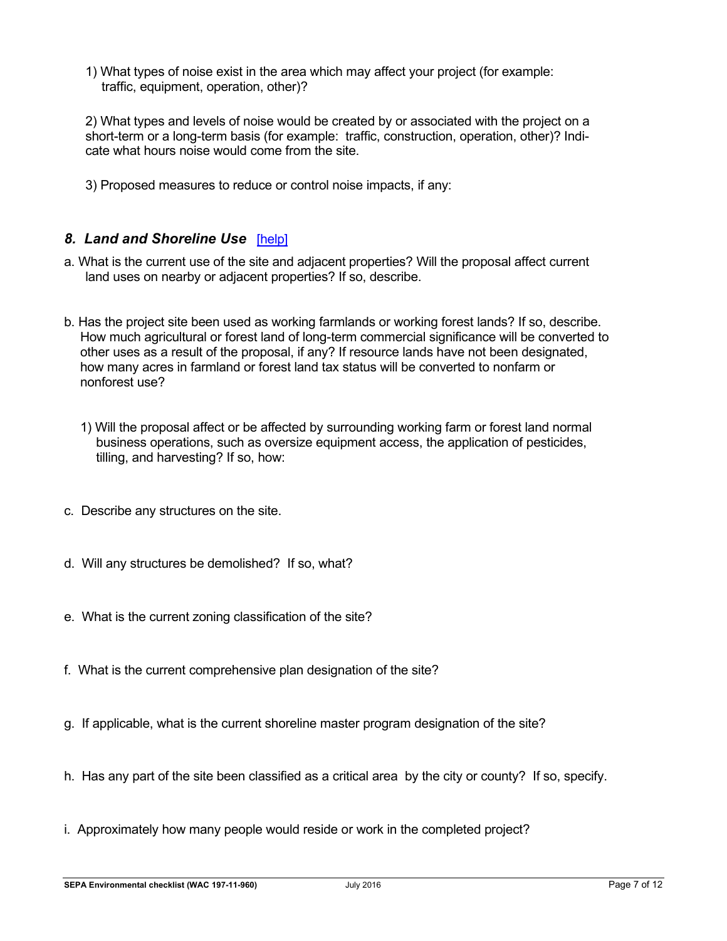1) What types of noise exist in the area which may affect your project (for example: traffic, equipment, operation, other)?

2) What types and levels of noise would be created by or associated with the project on a short-term or a long-term basis (for example: traffic, construction, operation, other)? Indicate what hours noise would come from the site.

3) Proposed measures to reduce or control noise impacts, if any:

#### *8. Land and Shoreline Use*[\[help\]](https://ecology.wa.gov/Regulations-Permits/SEPA/Environmental-review/SEPA-guidance/SEPA-checklist-guidance/SEPA-Checklist-Section-B-Environmental-elements/Environmental-elements-8-Land-shoreline-use)

- a. What is the current use of the site and adjacent properties? Will the proposal affect current land uses on nearby or adjacent properties? If so, describe.
- b. Has the project site been used as working farmlands or working forest lands? If so, describe. How much agricultural or forest land of long-term commercial significance will be converted to other uses as a result of the proposal, if any? If resource lands have not been designated, how many acres in farmland or forest land tax status will be converted to nonfarm or nonforest use?
	- 1) Will the proposal affect or be affected by surrounding working farm or forest land normal business operations, such as oversize equipment access, the application of pesticides, tilling, and harvesting? If so, how:
- c. Describe any structures on the site.
- d. Will any structures be demolished? If so, what?
- e. What is the current zoning classification of the site?
- f. What is the current comprehensive plan designation of the site?
- g. If applicable, what is the current shoreline master program designation of the site?
- h. Has any part of the site been classified as a critical area by the city or county? If so, specify.
- i. Approximately how many people would reside or work in the completed project?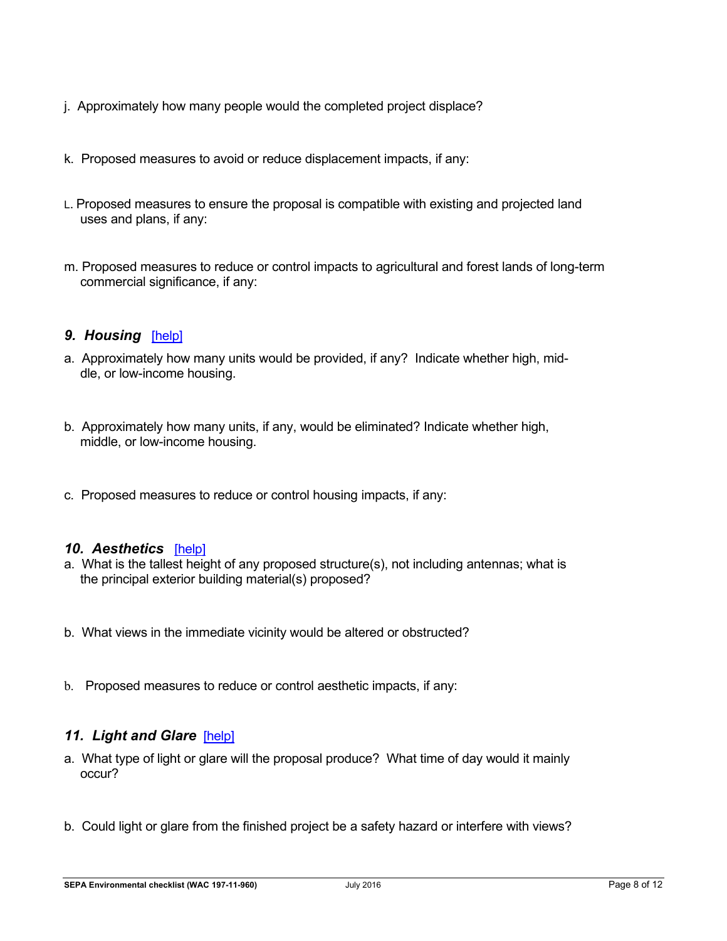- j. Approximately how many people would the completed project displace?
- k. Proposed measures to avoid or reduce displacement impacts, if any:
- L. Proposed measures to ensure the proposal is compatible with existing and projected land uses and plans, if any:
- m. Proposed measures to reduce or control impacts to agricultural and forest lands of long-term commercial significance, if any:

### *9. Housing*[\[help\]](https://ecology.wa.gov/Regulations-Permits/SEPA/Environmental-review/SEPA-guidance/SEPA-checklist-guidance/SEPA-Checklist-Section-B-Environmental-elements/Environmental-elements-9-Housing)

- a. Approximately how many units would be provided, if any? Indicate whether high, middle, or low-income housing.
- b. Approximately how many units, if any, would be eliminated? Indicate whether high, middle, or low-income housing.
- c. Proposed measures to reduce or control housing impacts, if any:

### *10. Aesthetics*[\[help\]](https://ecology.wa.gov/Regulations-Permits/SEPA/Environmental-review/SEPA-guidance/SEPA-checklist-guidance/SEPA-Checklist-Section-B-Environmental-elements/Environmental-elements-10-Aesthetics)

- a. What is the tallest height of any proposed structure(s), not including antennas; what is the principal exterior building material(s) proposed?
- b. What views in the immediate vicinity would be altered or obstructed?
- b. Proposed measures to reduce or control aesthetic impacts, if any:

### 11. Light and Glare [\[help\]](https://ecology.wa.gov/Regulations-Permits/SEPA/Environmental-review/SEPA-guidance/SEPA-checklist-guidance/SEPA-Checklist-Section-B-Environmental-elements/Environmental-elements-11-Light-glare)

- a. What type of light or glare will the proposal produce? What time of day would it mainly occur?
- b. Could light or glare from the finished project be a safety hazard or interfere with views?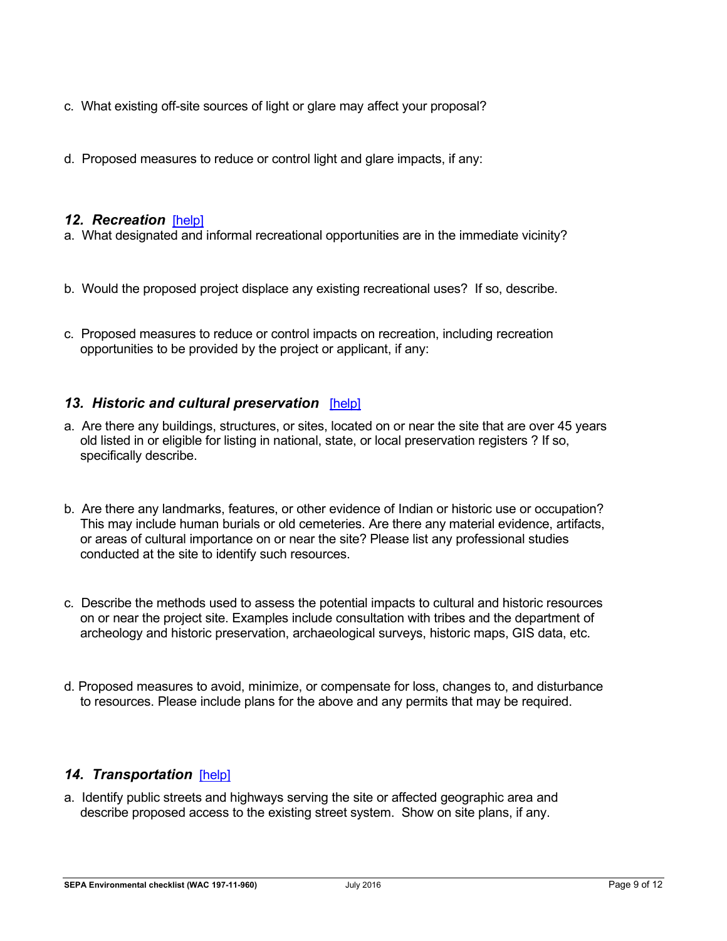- c. What existing off-site sources of light or glare may affect your proposal?
- d. Proposed measures to reduce or control light and glare impacts, if any:

#### *12. Recreation*[\[help\]](https://ecology.wa.gov/Regulations-Permits/SEPA/Environmental-review/SEPA-guidance/SEPA-checklist-guidance/SEPA-Checklist-Section-B-Environmental-elements/Environmental-elements-12-Recreation)

- a. What designated and informal recreational opportunities are in the immediate vicinity?
- b. Would the proposed project displace any existing recreational uses? If so, describe.
- c. Proposed measures to reduce or control impacts on recreation, including recreation opportunities to be provided by the project or applicant, if any:

## *13. Historic and cultural preservation*[\[help\]](https://ecology.wa.gov/Regulations-Permits/SEPA/Environmental-review/SEPA-guidance/SEPA-checklist-guidance/SEPA-Checklist-Section-B-Environmental-elements/Environmental-elements-13-Historic-cultural-p)

- a. Are there any buildings, structures, or sites, located on or near the site that are over 45 years old listed in or eligible for listing in national, state, or local preservation registers ? If so, specifically describe.
- b. Are there any landmarks, features, or other evidence of Indian or historic use or occupation? This may include human burials or old cemeteries. Are there any material evidence, artifacts, or areas of cultural importance on or near the site? Please list any professional studies conducted at the site to identify such resources.
- c. Describe the methods used to assess the potential impacts to cultural and historic resources on or near the project site. Examples include consultation with tribes and the department of archeology and historic preservation, archaeological surveys, historic maps, GIS data, etc.
- d. Proposed measures to avoid, minimize, or compensate for loss, changes to, and disturbance to resources. Please include plans for the above and any permits that may be required.

### *14. Transportation*[\[help\]](https://ecology.wa.gov/Regulations-Permits/SEPA/Environmental-review/SEPA-guidance/SEPA-checklist-guidance/SEPA-Checklist-Section-B-Environmental-elements/Environmental-elements-14-Transportation)

a. Identify public streets and highways serving the site or affected geographic area and describe proposed access to the existing street system. Show on site plans, if any.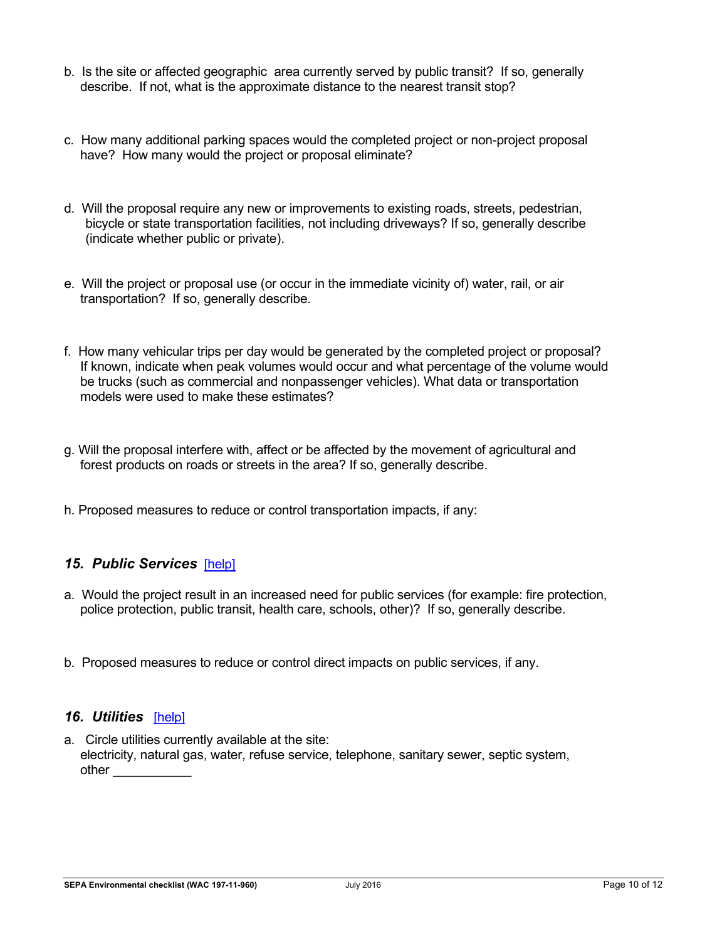- b. Is the site or affected geographic area currently served by public transit? If so, generally describe. If not, what is the approximate distance to the nearest transit stop?
- c. How many additional parking spaces would the completed project or non-project proposal have? How many would the project or proposal eliminate?
- d. Will the proposal require any new or improvements to existing roads, streets, pedestrian, bicycle or state transportation facilities, not including driveways? If so, generally describe (indicate whether public or private).
- e. Will the project or proposal use (or occur in the immediate vicinity of) water, rail, or air transportation? If so, generally describe.
- f. How many vehicular trips per day would be generated by the completed project or proposal? If known, indicate when peak volumes would occur and what percentage of the volume would be trucks (such as commercial and nonpassenger vehicles). What data or transportation models were used to make these estimates?
- g. Will the proposal interfere with, affect or be affected by the movement of agricultural and forest products on roads or streets in the area? If so, generally describe.
- h. Proposed measures to reduce or control transportation impacts, if any:

### *15. Public Services*[\[help\]](https://ecology.wa.gov/Regulations-Permits/SEPA/Environmental-review/SEPA-guidance/SEPA-checklist-guidance/SEPA-Checklist-Section-B-Environmental-elements/Environmental-elements-15-Public-services)

- a. Would the project result in an increased need for public services (for example: fire protection, police protection, public transit, health care, schools, other)? If so, generally describe.
- b. Proposed measures to reduce or control direct impacts on public services, if any.

#### *16. Utilities*[\[help\]](https://ecology.wa.gov/Regulations-Permits/SEPA/Environmental-review/SEPA-guidance/SEPA-checklist-guidance/SEPA-Checklist-Section-B-Environmental-elements/Environmental-elements-16-Utilities)

a. Circle utilities currently available at the site: electricity, natural gas, water, refuse service, telephone, sanitary sewer, septic system, other  $\qquad \qquad$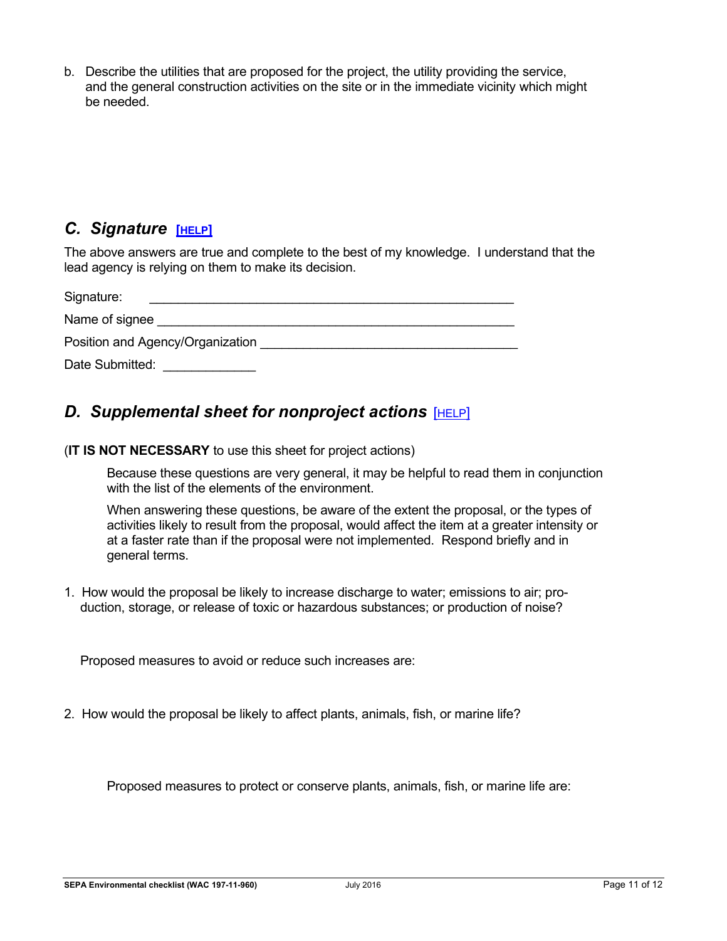b. Describe the utilities that are proposed for the project, the utility providing the service, and the general construction activities on the site or in the immediate vicinity which might be needed.

## *C. Signature* **[[HELP](https://ecology.wa.gov/Regulations-Permits/SEPA/Environmental-review/SEPA-guidance/SEPA-checklist-guidance/SEPA-Checklist-Section-C-Signature)]**

The above answers are true and complete to the best of my knowledge. I understand that the lead agency is relying on them to make its decision.

| Signature:                       |
|----------------------------------|
| Name of signee                   |
| Position and Agency/Organization |
| Date Submitted:                  |

# <span id="page-10-0"></span>*D. Supplemental sheet for nonproject actions* [[HELP](https://ecology.wa.gov/Regulations-Permits/SEPA/Environmental-review/SEPA-guidance/SEPA-checklist-guidance/SEPA-Checklist-Section-D-Non-project-actions)]

(**IT IS NOT NECESSARY** to use this sheet for project actions)

Because these questions are very general, it may be helpful to read them in conjunction with the list of the elements of the environment.

When answering these questions, be aware of the extent the proposal, or the types of activities likely to result from the proposal, would affect the item at a greater intensity or at a faster rate than if the proposal were not implemented. Respond briefly and in general terms.

1. How would the proposal be likely to increase discharge to water; emissions to air; production, storage, or release of toxic or hazardous substances; or production of noise?

Proposed measures to avoid or reduce such increases are:

2. How would the proposal be likely to affect plants, animals, fish, or marine life?

Proposed measures to protect or conserve plants, animals, fish, or marine life are: